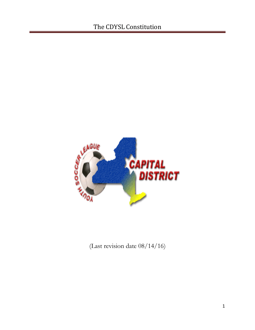

(Last revision date 08/14/16)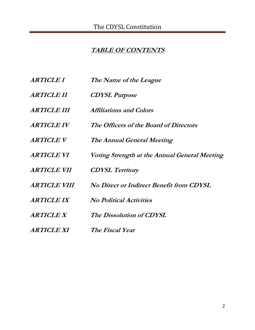# **TABLE OF CONTENTS**

| <b>ARTICLE I</b>           | The Name of the League                        |
|----------------------------|-----------------------------------------------|
| <b>ARTICLE II</b>          | <b>CDYSL Purpose</b>                          |
| <b>ARTICLE III</b>         | <i><b>Affiliations and Colors</b></i>         |
| <b>ARTICLE IV</b>          | The Officers of the Board of Directors        |
| <b>ARTICLE V</b>           | The Annual General Meeting                    |
| <b>ARTICLE VI</b>          | Voting Strength at the Annual General Meeting |
| <i><b>ARTICLE VII</b></i>  | <b>CDYSL Territory</b>                        |
| <i><b>ARTICLE VIII</b></i> | No Direct or Indirect Benefit from CDYSL      |
| <b>ARTICLE IX</b>          | <b>No Political Activities</b>                |
| <i><b>ARTICLE X</b></i>    | The Dissolution of CDYSL                      |
| <i><b>ARTICLE XI</b></i>   | The Fiscal Year                               |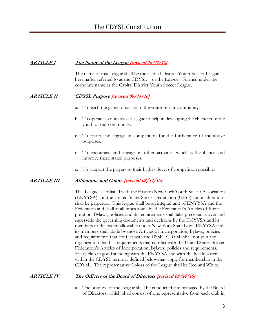## **ARTICLE I The Name of the League [revised 10/11/12]**

The name of this League shall be the Capital District Youth Soccer League, hereinafter referred to as the CDYSL – or the League. Formed under the corporate name as the Capital District Youth Soccer League.

## **ARTICLE II CDYSL Purpose [revised 08/14/16]**

- a. To teach the game of soccer to the youth of our community.
- b. To operate a youth soccer league to help in developing the character of the youth of our community.
- c. To foster and engage in competition for the furtherance of the above purposes.
- d. To encourage and engage in other activities which will enhance and improve these stated purposes.
- e. To support the players to their highest level of competition possible.

## **ARTICLE III Affiliations and Colors [revised 08/14/16]**

This League is affiliated with the Eastern New York Youth Soccer Association (ENYYSA) and the United States Soccer Federation (USSF) and its duration shall be perpetual. This league shall be an integral unit of ENYYSA and the Federation and shall at all times abide by the Federation's Articles of Incorporation, Bylaws, policies and its requirements shall take precedence over and supersede the governing documents and decisions by the ENYYSA and its members to the extent allowable under New York State Law. ENYYSA and its members shall abide by those Articles of Incorporation, Bylaws, policies and requirements that conflict with the USSF. CDYSL shall not join any organization that has requirements that conflict with the United States Soccer Federation's Articles of Incorporation, Bylaws, policies and requirements. Every club in good standing with the ENYYSA and with the headquarters within the CDYSL territory defined below may apply for membership in the CDYSL. The representative Colors of the League shall be Red and White.

## **ARTICLE IV The Officers of the Board of Directors [revised 08/14/16]**

a. The business of the League shall be conducted and managed by the Board of Directors, which shall consist of one representative from each club in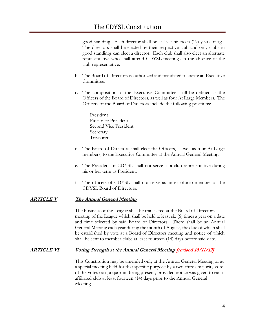good standing. Each director shall be at least nineteen (19) years of age. The directors shall be elected by their respective club and only clubs in good standings can elect a director. Each club shall also elect an alternate representative who shall attend CDYSL meetings in the absence of the club representative.

- b. The Board of Directors is authorized and mandated to create an Executive Committee.
- c. The composition of the Executive Committee shall be defined as the Officers of the Board of Directors, as well as four At Large Members. The Officers of the Board of Directors include the following positions:

President First Vice President Second Vice President Secretary Treasurer

- d. The Board of Directors shall elect the Officers, as well as four At Large members, to the Executive Committee at the Annual General Meeting.
- e. The President of CDYSL shall not serve as a club representative during his or her term as President.
- f. The officers of CDYSL shall not serve as an ex officio member of the CDYSL Board of Directors.

## **ARTICLE V The Annual General Meeting**

The business of the League shall be transacted at the Board of Directors meeting of the League which shall be held at least six (6) times a year on a date and time selected by said Board of Directors. There shall be an Annual General Meeting each year during the month of August, the date of which shall be established by vote at a Board of Directors meeting and notice of which shall be sent to member clubs at least fourteen (14) days before said date.

### **ARTICLE VI Voting Strength at the Annual General Meeting [revised 10/11/12]**

This Constitution may be amended only at the Annual General Meeting or at a special meeting held for that specific purpose by a two-thirds majority vote of the votes cast, a quorum being present, provided notice was given to each affiliated club at least fourteen (14) days prior to the Annual General Meeting.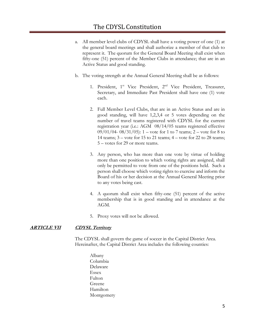- a. All member level clubs of CDYSL shall have a voting power of one (1) at the general board meetings and shall authorize a member of that club to represent it. The quorum for the General Board Meeting shall exist when fifty-one (51) percent of the Member Clubs in attendance; that are in an Active Status and good standing.
- b. The voting strength at the Annual General Meeting shall be as follows:
	- 1. President, 1<sup>st</sup> Vice President, 2<sup>nd</sup> Vice President, Treasurer, Secretary, and Immediate Past President shall have one (1) vote each.
	- 2. Full Member Level Clubs, that are in an Active Status and are in good standing, will have 1,2,3,4 or 5 votes depending on the number of travel teams registered with CDYSL for the current registration year (i.e.: AGM 08/14/05 teams registered effective 09/01/04- 08/31/05): 1 – vote for 1 to 7 teams; 2 – vote for 8 to 14 teams; 3 – vote for 15 to 21 teams; 4 – vote for 22 to 28 teams; 5 – votes for 29 or more teams.
	- 3. Any person, who has more than one vote by virtue of holding more than one position to which voting rights are assigned, shall only be permitted to vote from one of the positions held. Such a person shall choose which voting rights to exercise and inform the Board of his or her decision at the Annual General Meeting prior to any votes being cast.
	- 4. A quorum shall exist when fifty-one (51) percent of the active membership that is in good standing and in attendance at the AGM.
	- 5. Proxy votes will not be allowed.

#### **ARTICLE VII CDYSL Territory**

The CDYSL shall govern the game of soccer in the Capital District Area. Hereinafter, the Capital District Area includes the following counties:

Albany Columbia Delaware Essex Fulton Greene Hamilton Montgomery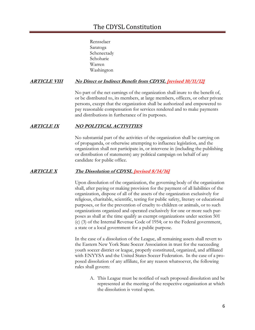Rensselaer Saratoga Schenectady Schoharie Warren Washington

## **ARTICLE VIII No Direct or Indirect Benefit from CDYSL [revised 10/11/12]**

No part of the net earnings of the organization shall inure to the benefit of, or be distributed to, its members, at large members, officers, or other private persons, except that the organization shall be authorized and empowered to pay reasonable compensation for services rendered and to make payments and distributions in furtherance of its purposes.

## **ARTICLE IX NO POLITICAL ACTIVITIES**

No substantial part of the activities of the organization shall be carrying on of propaganda, or otherwise attempting to influence legislation, and the organization shall not participate in, or intervene in (including the publishing or distribution of statements) any political campaign on behalf of any candidate for public office.

### **ARTICLE X The Dissolution of CDYSL [revised 8/14/16]**

Upon dissolution of the organization, the governing body of the organization shall, after paying or making provision for the payment of all liabilities of the organization, dispose of all of the assets of the organization exclusively for religious, charitable, scientific, testing for public safety, literary or educational purposes, or for the prevention of cruelty to children or animals, or to such organizations organized and operated exclusively for one or more such purposes as shall at the time qualify as exempt organizations under section 501 (c) (3) of the Internal Revenue Code of 1954; or to the Federal government, a state or a local government for a public purpose.

In the case of a dissolution of the League, all remaining assets shall revert to the Eastern New York State Soccer Association in trust for the succeeding youth soccer district or league, properly constituted, organized, and affiliated with ENYYSA and the United States Soccer Federation. In the case of a proposed dissolution of any affiliate, for any reason whatsoever, the following rules shall govern:

A. This League must be notified of such proposed dissolution and be represented at the meeting of the respective organization at which the dissolution is voted upon.